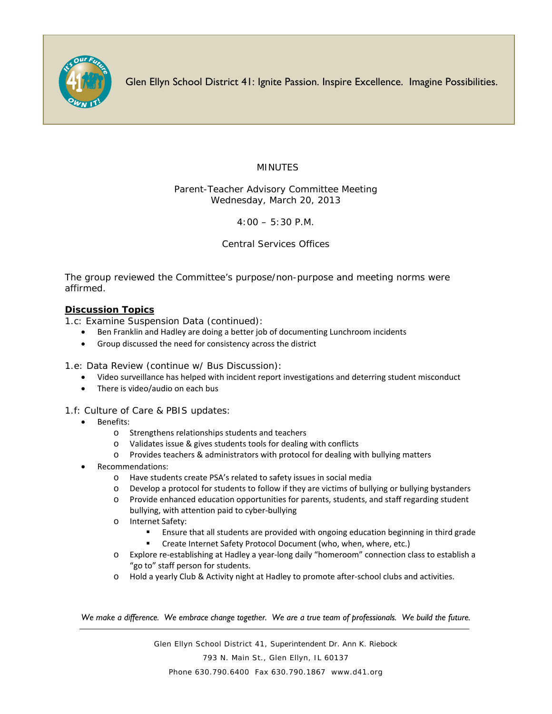

Glen Ellyn School District 41: Ignite Passion. Inspire Excellence. Imagine Possibilities.

## MINUTES

Parent-Teacher Advisory Committee Meeting Wednesday, March 20, 2013

4:00 – 5:30 P.M.

Central Services Offices

The group reviewed the Committee's purpose/non-purpose and meeting norms were affirmed.

## **Discussion Topics**

1.c: Examine Suspension Data (continued):

- Ben Franklin and Hadley are doing a better job of documenting Lunchroom incidents
- Group discussed the need for consistency across the district

1.e: Data Review (continue w/ Bus Discussion):

- Video surveillance has helped with incident report investigations and deterring student misconduct
- There is video/audio on each bus

1.f: Culture of Care & PBIS updates:

- Benefits:
	- o Strengthens relationships students and teachers
	- o Validates issue & gives students tools for dealing with conflicts
	- o Provides teachers & administrators with protocol for dealing with bullying matters
- Recommendations:
	- o Have students create PSA's related to safety issues in social media
	- o Develop a protocol for students to follow if they are victims of bullying or bullying bystanders
	- o Provide enhanced education opportunities for parents, students, and staff regarding student bullying, with attention paid to cyber-bullying
	- o Internet Safety:
		- Ensure that all students are provided with ongoing education beginning in third grade
		- Create Internet Safety Protocol Document (who, when, where, etc.)
	- o Explore re-establishing at Hadley a year-long daily "homeroom" connection class to establish a "go to" staff person for students.
	- o Hold a yearly Club & Activity night at Hadley to promote after-school clubs and activities.

*We make a difference. We embrace change together. We are a true team of professionals. We build the future.*

Glen Ellyn School District 41, Superintendent Dr. Ann K. Riebock 793 N. Main St., Glen Ellyn, IL 60137 Phone 630.790.6400 Fax 630.790.1867 www.d41.org